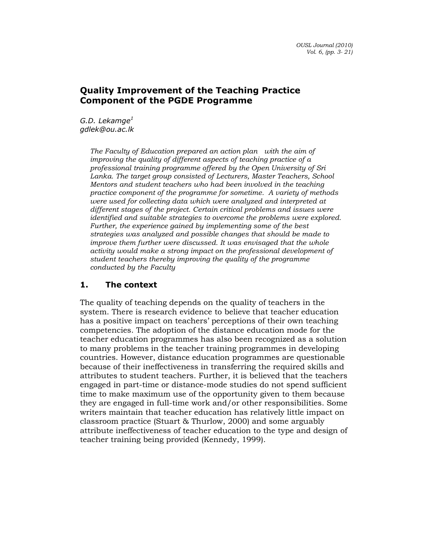# Quality Improvement of the Teaching Practice Component of the PGDE Programme

G.D. Lekamge $^1$ gdlek@ou.ac.lk

> The Faculty of Education prepared an action plan with the aim of improving the quality of different aspects of teaching practice of a professional training programme offered by the Open University of Sri Lanka. The target group consisted of Lecturers, Master Teachers, School Mentors and student teachers who had been involved in the teaching practice component of the programme for sometime. A variety of methods were used for collecting data which were analyzed and interpreted at different stages of the project. Certain critical problems and issues were identified and suitable strategies to overcome the problems were explored. Further, the experience gained by implementing some of the best strategies was analyzed and possible changes that should be made to improve them further were discussed. It was envisaged that the whole activity would make a strong impact on the professional development of student teachers thereby improving the quality of the programme conducted by the Faculty

# 1. The context

The quality of teaching depends on the quality of teachers in the system. There is research evidence to believe that teacher education has a positive impact on teachers' perceptions of their own teaching competencies. The adoption of the distance education mode for the teacher education programmes has also been recognized as a solution to many problems in the teacher training programmes in developing countries. However, distance education programmes are questionable because of their ineffectiveness in transferring the required skills and attributes to student teachers. Further, it is believed that the teachers engaged in part-time or distance-mode studies do not spend sufficient time to make maximum use of the opportunity given to them because they are engaged in full-time work and/or other responsibilities. Some writers maintain that teacher education has relatively little impact on classroom practice (Stuart & Thurlow, 2000) and some arguably attribute ineffectiveness of teacher education to the type and design of teacher training being provided (Kennedy, 1999).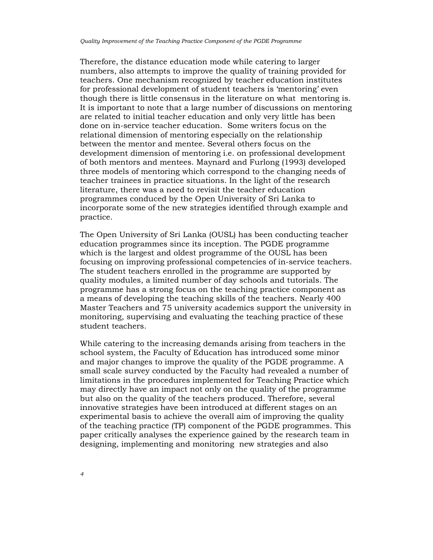Therefore, the distance education mode while catering to larger numbers, also attempts to improve the quality of training provided for teachers. One mechanism recognized by teacher education institutes for professional development of student teachers is 'mentoring' even though there is little consensus in the literature on what mentoring is. It is important to note that a large number of discussions on mentoring are related to initial teacher education and only very little has been done on in-service teacher education. Some writers focus on the relational dimension of mentoring especially on the relationship between the mentor and mentee. Several others focus on the development dimension of mentoring i.e. on professional development of both mentors and mentees. Maynard and Furlong (1993) developed three models of mentoring which correspond to the changing needs of teacher trainees in practice situations. In the light of the research literature, there was a need to revisit the teacher education programmes conduced by the Open University of Sri Lanka to incorporate some of the new strategies identified through example and practice.

The Open University of Sri Lanka (OUSL) has been conducting teacher education programmes since its inception. The PGDE programme which is the largest and oldest programme of the OUSL has been focusing on improving professional competencies of in-service teachers. The student teachers enrolled in the programme are supported by quality modules, a limited number of day schools and tutorials. The programme has a strong focus on the teaching practice component as a means of developing the teaching skills of the teachers. Nearly 400 Master Teachers and 75 university academics support the university in monitoring, supervising and evaluating the teaching practice of these student teachers.

While catering to the increasing demands arising from teachers in the school system, the Faculty of Education has introduced some minor and major changes to improve the quality of the PGDE programme. A small scale survey conducted by the Faculty had revealed a number of limitations in the procedures implemented for Teaching Practice which may directly have an impact not only on the quality of the programme but also on the quality of the teachers produced. Therefore, several innovative strategies have been introduced at different stages on an experimental basis to achieve the overall aim of improving the quality of the teaching practice (TP) component of the PGDE programmes. This paper critically analyses the experience gained by the research team in designing, implementing and monitoring new strategies and also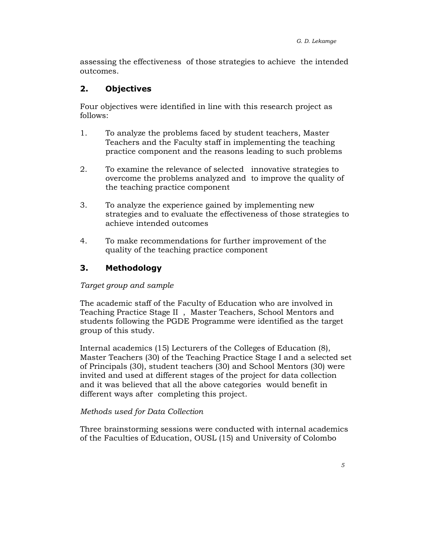assessing the effectiveness of those strategies to achieve the intended outcomes.

# 2. Objectives

Four objectives were identified in line with this research project as follows:

- 1. To analyze the problems faced by student teachers, Master Teachers and the Faculty staff in implementing the teaching practice component and the reasons leading to such problems
- 2. To examine the relevance of selected innovative strategies to overcome the problems analyzed and to improve the quality of the teaching practice component
- 3. To analyze the experience gained by implementing new strategies and to evaluate the effectiveness of those strategies to achieve intended outcomes
- 4. To make recommendations for further improvement of the quality of the teaching practice component

# 3. Methodology

#### Target group and sample

The academic staff of the Faculty of Education who are involved in Teaching Practice Stage II , Master Teachers, School Mentors and students following the PGDE Programme were identified as the target group of this study.

Internal academics (15) Lecturers of the Colleges of Education (8), Master Teachers (30) of the Teaching Practice Stage I and a selected set of Principals (30), student teachers (30) and School Mentors (30) were invited and used at different stages of the project for data collection and it was believed that all the above categories would benefit in different ways after completing this project.

#### Methods used for Data Collection

Three brainstorming sessions were conducted with internal academics of the Faculties of Education, OUSL (15) and University of Colombo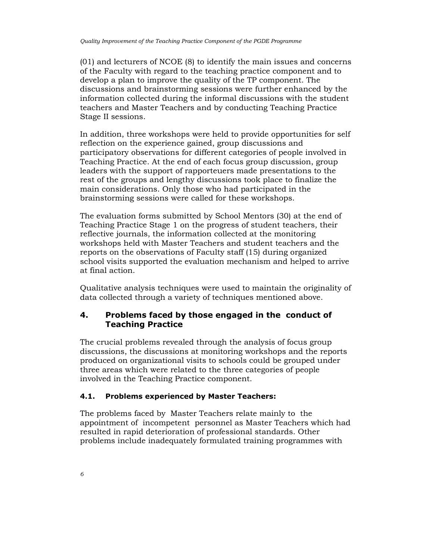(01) and lecturers of NCOE (8) to identify the main issues and concerns of the Faculty with regard to the teaching practice component and to develop a plan to improve the quality of the TP component. The discussions and brainstorming sessions were further enhanced by the information collected during the informal discussions with the student teachers and Master Teachers and by conducting Teaching Practice Stage II sessions.

In addition, three workshops were held to provide opportunities for self reflection on the experience gained, group discussions and participatory observations for different categories of people involved in Teaching Practice. At the end of each focus group discussion, group leaders with the support of rapporteuers made presentations to the rest of the groups and lengthy discussions took place to finalize the main considerations. Only those who had participated in the brainstorming sessions were called for these workshops.

The evaluation forms submitted by School Mentors (30) at the end of Teaching Practice Stage 1 on the progress of student teachers, their reflective journals, the information collected at the monitoring workshops held with Master Teachers and student teachers and the reports on the observations of Faculty staff (15) during organized school visits supported the evaluation mechanism and helped to arrive at final action.

Qualitative analysis techniques were used to maintain the originality of data collected through a variety of techniques mentioned above.

# 4. Problems faced by those engaged in the conduct of Teaching Practice

The crucial problems revealed through the analysis of focus group discussions, the discussions at monitoring workshops and the reports produced on organizational visits to schools could be grouped under three areas which were related to the three categories of people involved in the Teaching Practice component.

#### 4.1. Problems experienced by Master Teachers:

The problems faced by Master Teachers relate mainly to the appointment of incompetent personnel as Master Teachers which had resulted in rapid deterioration of professional standards. Other problems include inadequately formulated training programmes with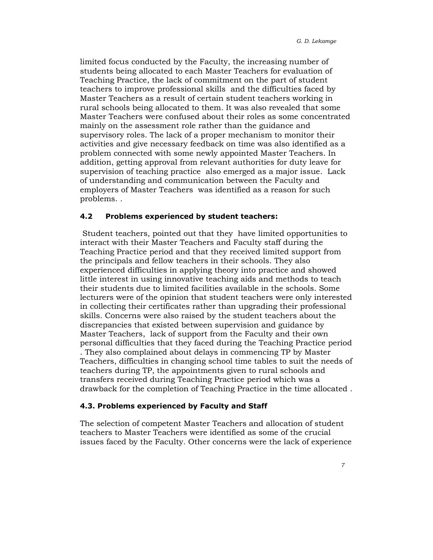limited focus conducted by the Faculty, the increasing number of students being allocated to each Master Teachers for evaluation of Teaching Practice, the lack of commitment on the part of student teachers to improve professional skills and the difficulties faced by Master Teachers as a result of certain student teachers working in rural schools being allocated to them. It was also revealed that some Master Teachers were confused about their roles as some concentrated mainly on the assessment role rather than the guidance and supervisory roles. The lack of a proper mechanism to monitor their activities and give necessary feedback on time was also identified as a problem connected with some newly appointed Master Teachers. In addition, getting approval from relevant authorities for duty leave for supervision of teaching practice also emerged as a major issue. Lack of understanding and communication between the Faculty and employers of Master Teachers was identified as a reason for such problems. .

#### 4.2 Problems experienced by student teachers:

 Student teachers, pointed out that they have limited opportunities to interact with their Master Teachers and Faculty staff during the Teaching Practice period and that they received limited support from the principals and fellow teachers in their schools. They also experienced difficulties in applying theory into practice and showed little interest in using innovative teaching aids and methods to teach their students due to limited facilities available in the schools. Some lecturers were of the opinion that student teachers were only interested in collecting their certificates rather than upgrading their professional skills. Concerns were also raised by the student teachers about the discrepancies that existed between supervision and guidance by Master Teachers, lack of support from the Faculty and their own personal difficulties that they faced during the Teaching Practice period . They also complained about delays in commencing TP by Master Teachers, difficulties in changing school time tables to suit the needs of teachers during TP, the appointments given to rural schools and transfers received during Teaching Practice period which was a drawback for the completion of Teaching Practice in the time allocated .

#### 4.3. Problems experienced by Faculty and Staff

The selection of competent Master Teachers and allocation of student teachers to Master Teachers were identified as some of the crucial issues faced by the Faculty. Other concerns were the lack of experience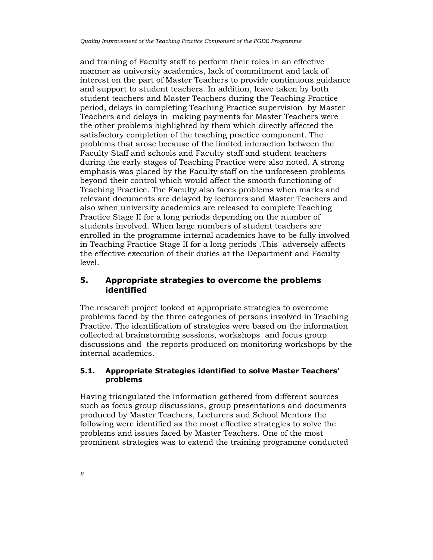and training of Faculty staff to perform their roles in an effective manner as university academics, lack of commitment and lack of interest on the part of Master Teachers to provide continuous guidance and support to student teachers. In addition, leave taken by both student teachers and Master Teachers during the Teaching Practice period, delays in completing Teaching Practice supervision by Master Teachers and delays in making payments for Master Teachers were the other problems highlighted by them which directly affected the satisfactory completion of the teaching practice component. The problems that arose because of the limited interaction between the Faculty Staff and schools and Faculty staff and student teachers during the early stages of Teaching Practice were also noted. A strong emphasis was placed by the Faculty staff on the unforeseen problems beyond their control which would affect the smooth functioning of Teaching Practice. The Faculty also faces problems when marks and relevant documents are delayed by lecturers and Master Teachers and also when university academics are released to complete Teaching Practice Stage II for a long periods depending on the number of students involved. When large numbers of student teachers are enrolled in the programme internal academics have to be fully involved in Teaching Practice Stage II for a long periods .This adversely affects the effective execution of their duties at the Department and Faculty level.

# 5. Appropriate strategies to overcome the problems identified

The research project looked at appropriate strategies to overcome problems faced by the three categories of persons involved in Teaching Practice. The identification of strategies were based on the information collected at brainstorming sessions, workshops and focus group discussions and the reports produced on monitoring workshops by the internal academics.

## 5.1. Appropriate Strategies identified to solve Master Teachers' problems

Having triangulated the information gathered from different sources such as focus group discussions, group presentations and documents produced by Master Teachers, Lecturers and School Mentors the following were identified as the most effective strategies to solve the problems and issues faced by Master Teachers. One of the most prominent strategies was to extend the training programme conducted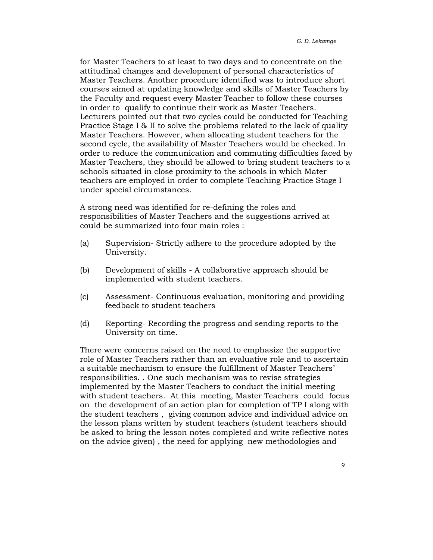for Master Teachers to at least to two days and to concentrate on the attitudinal changes and development of personal characteristics of Master Teachers. Another procedure identified was to introduce short courses aimed at updating knowledge and skills of Master Teachers by the Faculty and request every Master Teacher to follow these courses in order to qualify to continue their work as Master Teachers. Lecturers pointed out that two cycles could be conducted for Teaching Practice Stage I & II to solve the problems related to the lack of quality Master Teachers. However, when allocating student teachers for the second cycle, the availability of Master Teachers would be checked. In order to reduce the communication and commuting difficulties faced by Master Teachers, they should be allowed to bring student teachers to a schools situated in close proximity to the schools in which Mater teachers are employed in order to complete Teaching Practice Stage I under special circumstances.

A strong need was identified for re-defining the roles and responsibilities of Master Teachers and the suggestions arrived at could be summarized into four main roles :

- (a) Supervision- Strictly adhere to the procedure adopted by the University.
- (b) Development of skills A collaborative approach should be implemented with student teachers.
- (c) Assessment- Continuous evaluation, monitoring and providing feedback to student teachers
- (d) Reporting- Recording the progress and sending reports to the University on time.

There were concerns raised on the need to emphasize the supportive role of Master Teachers rather than an evaluative role and to ascertain a suitable mechanism to ensure the fulfillment of Master Teachers' responsibilities. . One such mechanism was to revise strategies implemented by the Master Teachers to conduct the initial meeting with student teachers. At this meeting, Master Teachers could focus on the development of an action plan for completion of TP I along with the student teachers , giving common advice and individual advice on the lesson plans written by student teachers (student teachers should be asked to bring the lesson notes completed and write reflective notes on the advice given) , the need for applying new methodologies and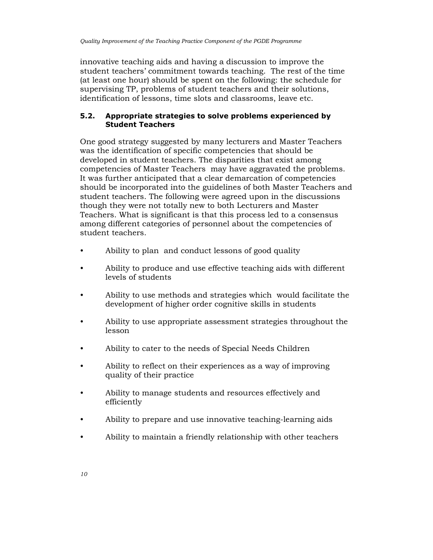innovative teaching aids and having a discussion to improve the student teachers' commitment towards teaching. The rest of the time (at least one hour) should be spent on the following: the schedule for supervising TP, problems of student teachers and their solutions, identification of lessons, time slots and classrooms, leave etc.

## 5.2. Appropriate strategies to solve problems experienced by Student Teachers

One good strategy suggested by many lecturers and Master Teachers was the identification of specific competencies that should be developed in student teachers. The disparities that exist among competencies of Master Teachers may have aggravated the problems. It was further anticipated that a clear demarcation of competencies should be incorporated into the guidelines of both Master Teachers and student teachers. The following were agreed upon in the discussions though they were not totally new to both Lecturers and Master Teachers. What is significant is that this process led to a consensus among different categories of personnel about the competencies of student teachers.

- Ability to plan and conduct lessons of good quality
- Ability to produce and use effective teaching aids with different levels of students
- Ability to use methods and strategies which would facilitate the development of higher order cognitive skills in students
- Ability to use appropriate assessment strategies throughout the lesson
- Ability to cater to the needs of Special Needs Children
- Ability to reflect on their experiences as a way of improving quality of their practice
- Ability to manage students and resources effectively and efficiently
- Ability to prepare and use innovative teaching-learning aids
- Ability to maintain a friendly relationship with other teachers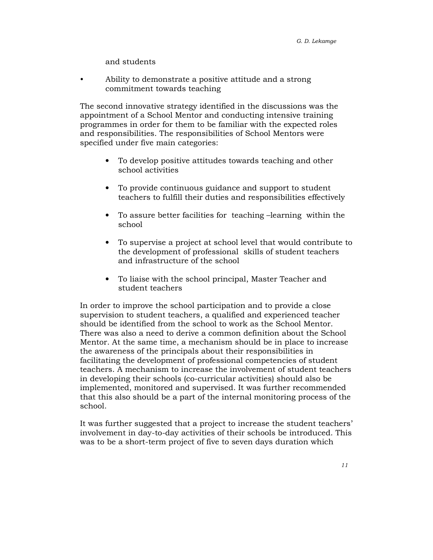and students

• Ability to demonstrate a positive attitude and a strong commitment towards teaching

The second innovative strategy identified in the discussions was the appointment of a School Mentor and conducting intensive training programmes in order for them to be familiar with the expected roles and responsibilities. The responsibilities of School Mentors were specified under five main categories:

- To develop positive attitudes towards teaching and other school activities
- To provide continuous guidance and support to student teachers to fulfill their duties and responsibilities effectively
- To assure better facilities for teaching –learning within the school
- To supervise a project at school level that would contribute to the development of professional skills of student teachers and infrastructure of the school
- To liaise with the school principal, Master Teacher and student teachers

In order to improve the school participation and to provide a close supervision to student teachers, a qualified and experienced teacher should be identified from the school to work as the School Mentor. There was also a need to derive a common definition about the School Mentor. At the same time, a mechanism should be in place to increase the awareness of the principals about their responsibilities in facilitating the development of professional competencies of student teachers. A mechanism to increase the involvement of student teachers in developing their schools (co-curricular activities) should also be implemented, monitored and supervised. It was further recommended that this also should be a part of the internal monitoring process of the school.

It was further suggested that a project to increase the student teachers' involvement in day-to-day activities of their schools be introduced. This was to be a short-term project of five to seven days duration which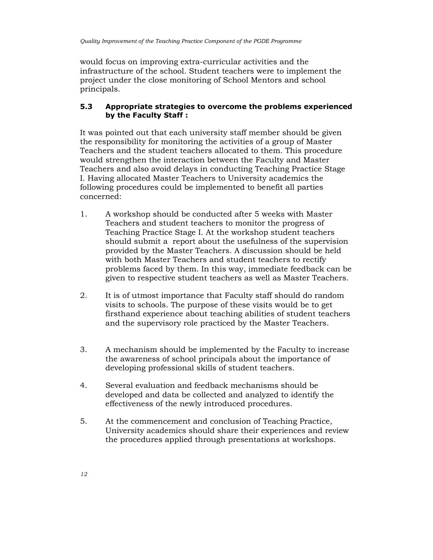would focus on improving extra-curricular activities and the infrastructure of the school. Student teachers were to implement the project under the close monitoring of School Mentors and school principals.

## 5.3 Appropriate strategies to overcome the problems experienced by the Faculty Staff :

It was pointed out that each university staff member should be given the responsibility for monitoring the activities of a group of Master Teachers and the student teachers allocated to them. This procedure would strengthen the interaction between the Faculty and Master Teachers and also avoid delays in conducting Teaching Practice Stage I. Having allocated Master Teachers to University academics the following procedures could be implemented to benefit all parties concerned:

- 1. A workshop should be conducted after 5 weeks with Master Teachers and student teachers to monitor the progress of Teaching Practice Stage I. At the workshop student teachers should submit a report about the usefulness of the supervision provided by the Master Teachers. A discussion should be held with both Master Teachers and student teachers to rectify problems faced by them. In this way, immediate feedback can be given to respective student teachers as well as Master Teachers.
- 2. It is of utmost importance that Faculty staff should do random visits to schools. The purpose of these visits would be to get firsthand experience about teaching abilities of student teachers and the supervisory role practiced by the Master Teachers.
- 3. A mechanism should be implemented by the Faculty to increase the awareness of school principals about the importance of developing professional skills of student teachers.
- 4. Several evaluation and feedback mechanisms should be developed and data be collected and analyzed to identify the effectiveness of the newly introduced procedures.
- 5. At the commencement and conclusion of Teaching Practice, University academics should share their experiences and review the procedures applied through presentations at workshops.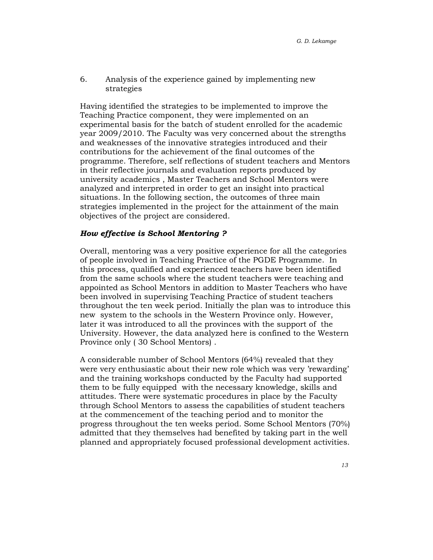6. Analysis of the experience gained by implementing new strategies

Having identified the strategies to be implemented to improve the Teaching Practice component, they were implemented on an experimental basis for the batch of student enrolled for the academic year 2009/2010. The Faculty was very concerned about the strengths and weaknesses of the innovative strategies introduced and their contributions for the achievement of the final outcomes of the programme. Therefore, self reflections of student teachers and Mentors in their reflective journals and evaluation reports produced by university academics , Master Teachers and School Mentors were analyzed and interpreted in order to get an insight into practical situations. In the following section, the outcomes of three main strategies implemented in the project for the attainment of the main objectives of the project are considered.

#### How effective is School Mentoring ?

Overall, mentoring was a very positive experience for all the categories of people involved in Teaching Practice of the PGDE Programme. In this process, qualified and experienced teachers have been identified from the same schools where the student teachers were teaching and appointed as School Mentors in addition to Master Teachers who have been involved in supervising Teaching Practice of student teachers throughout the ten week period. Initially the plan was to introduce this new system to the schools in the Western Province only. However, later it was introduced to all the provinces with the support of the University. However, the data analyzed here is confined to the Western Province only ( 30 School Mentors) .

A considerable number of School Mentors (64%) revealed that they were very enthusiastic about their new role which was very 'rewarding' and the training workshops conducted by the Faculty had supported them to be fully equipped with the necessary knowledge, skills and attitudes. There were systematic procedures in place by the Faculty through School Mentors to assess the capabilities of student teachers at the commencement of the teaching period and to monitor the progress throughout the ten weeks period. Some School Mentors (70%) admitted that they themselves had benefited by taking part in the well planned and appropriately focused professional development activities.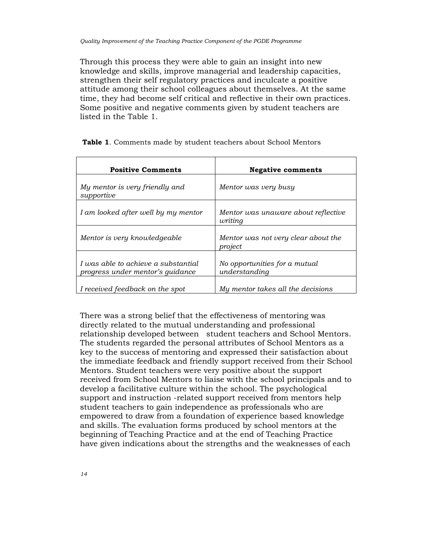Through this process they were able to gain an insight into new knowledge and skills, improve managerial and leadership capacities, strengthen their self regulatory practices and inculcate a positive attitude among their school colleagues about themselves. At the same time, they had become self critical and reflective in their own practices. Some positive and negative comments given by student teachers are listed in the Table 1.

| <b>Positive Comments</b>                                                | <b>Negative comments</b>                       |
|-------------------------------------------------------------------------|------------------------------------------------|
| My mentor is very friendly and<br>supportive                            | Mentor was very busy                           |
| I am looked after well by my mentor                                     | Mentor was unaware about reflective<br>writing |
| Mentor is very knowledgeable                                            | Mentor was not very clear about the<br>project |
| I was able to achieve a substantial<br>progress under mentor's guidance | No opportunities for a mutual<br>understanding |
| I received feedback on the spot                                         | My mentor takes all the decisions              |

Table 1. Comments made by student teachers about School Mentors

There was a strong belief that the effectiveness of mentoring was directly related to the mutual understanding and professional relationship developed between student teachers and School Mentors. The students regarded the personal attributes of School Mentors as a key to the success of mentoring and expressed their satisfaction about the immediate feedback and friendly support received from their School Mentors. Student teachers were very positive about the support received from School Mentors to liaise with the school principals and to develop a facilitative culture within the school. The psychological support and instruction -related support received from mentors help student teachers to gain independence as professionals who are empowered to draw from a foundation of experience based knowledge and skills. The evaluation forms produced by school mentors at the beginning of Teaching Practice and at the end of Teaching Practice have given indications about the strengths and the weaknesses of each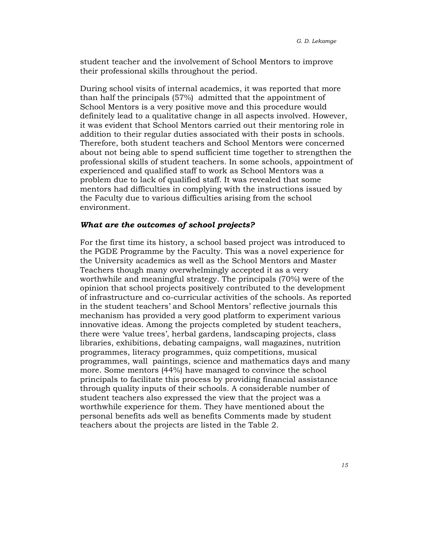student teacher and the involvement of School Mentors to improve their professional skills throughout the period.

During school visits of internal academics, it was reported that more than half the principals (57%) admitted that the appointment of School Mentors is a very positive move and this procedure would definitely lead to a qualitative change in all aspects involved. However, it was evident that School Mentors carried out their mentoring role in addition to their regular duties associated with their posts in schools. Therefore, both student teachers and School Mentors were concerned about not being able to spend sufficient time together to strengthen the professional skills of student teachers. In some schools, appointment of experienced and qualified staff to work as School Mentors was a problem due to lack of qualified staff. It was revealed that some mentors had difficulties in complying with the instructions issued by the Faculty due to various difficulties arising from the school environment.

#### What are the outcomes of school projects?

For the first time its history, a school based project was introduced to the PGDE Programme by the Faculty. This was a novel experience for the University academics as well as the School Mentors and Master Teachers though many overwhelmingly accepted it as a very worthwhile and meaningful strategy. The principals (70%) were of the opinion that school projects positively contributed to the development of infrastructure and co-curricular activities of the schools. As reported in the student teachers' and School Mentors' reflective journals this mechanism has provided a very good platform to experiment various innovative ideas. Among the projects completed by student teachers, there were 'value trees', herbal gardens, landscaping projects, class libraries, exhibitions, debating campaigns, wall magazines, nutrition programmes, literacy programmes, quiz competitions, musical programmes, wall paintings, science and mathematics days and many more. Some mentors (44%) have managed to convince the school principals to facilitate this process by providing financial assistance through quality inputs of their schools. A considerable number of student teachers also expressed the view that the project was a worthwhile experience for them. They have mentioned about the personal benefits ads well as benefits Comments made by student teachers about the projects are listed in the Table 2.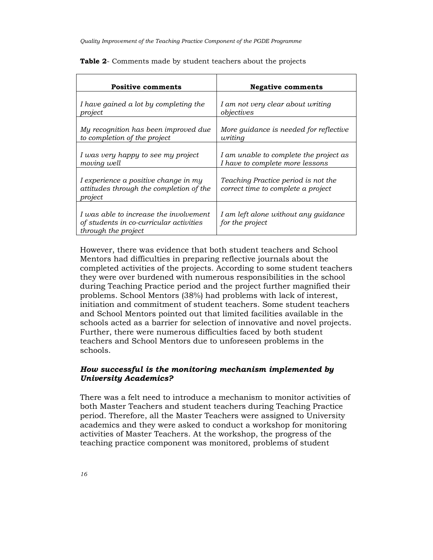| <b>Positive comments</b>                                                                                 | <b>Negative comments</b>                                                  |
|----------------------------------------------------------------------------------------------------------|---------------------------------------------------------------------------|
| I have gained a lot by completing the                                                                    | I am not very clear about writing                                         |
| project                                                                                                  | objectives                                                                |
| My recognition has been improved due                                                                     | More guidance is needed for reflective                                    |
| to completion of the project                                                                             | writing                                                                   |
| I was very happy to see my project                                                                       | I am unable to complete the project as                                    |
| moving well                                                                                              | I have to complete more lessons                                           |
| I experience a positive change in my<br>attitudes through the completion of the<br>project               | Teaching Practice period is not the<br>correct time to complete a project |
| I was able to increase the involvement<br>of students in co-curricular activities<br>through the project | I am left alone without any guidance<br>for the project                   |

Table 2- Comments made by student teachers about the projects

However, there was evidence that both student teachers and School Mentors had difficulties in preparing reflective journals about the completed activities of the projects. According to some student teachers they were over burdened with numerous responsibilities in the school during Teaching Practice period and the project further magnified their problems. School Mentors (38%) had problems with lack of interest, initiation and commitment of student teachers. Some student teachers and School Mentors pointed out that limited facilities available in the schools acted as a barrier for selection of innovative and novel projects. Further, there were numerous difficulties faced by both student teachers and School Mentors due to unforeseen problems in the schools.

### How successful is the monitoring mechanism implemented by University Academics?

There was a felt need to introduce a mechanism to monitor activities of both Master Teachers and student teachers during Teaching Practice period. Therefore, all the Master Teachers were assigned to University academics and they were asked to conduct a workshop for monitoring activities of Master Teachers. At the workshop, the progress of the teaching practice component was monitored, problems of student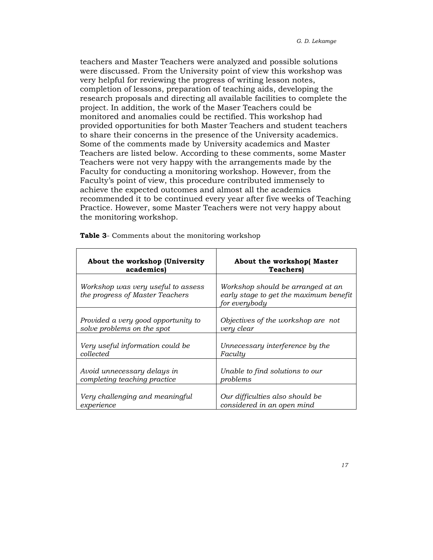teachers and Master Teachers were analyzed and possible solutions were discussed. From the University point of view this workshop was very helpful for reviewing the progress of writing lesson notes, completion of lessons, preparation of teaching aids, developing the research proposals and directing all available facilities to complete the project. In addition, the work of the Maser Teachers could be monitored and anomalies could be rectified. This workshop had provided opportunities for both Master Teachers and student teachers to share their concerns in the presence of the University academics. Some of the comments made by University academics and Master Teachers are listed below. According to these comments, some Master Teachers were not very happy with the arrangements made by the Faculty for conducting a monitoring workshop. However, from the Faculty's point of view, this procedure contributed immensely to achieve the expected outcomes and almost all the academics recommended it to be continued every year after five weeks of Teaching Practice. However, some Master Teachers were not very happy about the monitoring workshop.

| About the workshop (University                                        | About the workshop(Master                                                                    |
|-----------------------------------------------------------------------|----------------------------------------------------------------------------------------------|
| academics)                                                            | <b>Teachers</b>                                                                              |
| Workshop was very useful to assess<br>the progress of Master Teachers | Workshop should be arranged at an<br>early stage to get the maximum benefit<br>for everybody |
| Provided a very good opportunity to                                   | Objectives of the workshop are not                                                           |
| solve problems on the spot                                            | very clear                                                                                   |
| Very useful information could be                                      | Unnecessary interference by the                                                              |
| collected                                                             | Faculty                                                                                      |
| Avoid unnecessary delays in                                           | Unable to find solutions to our                                                              |
| completing teaching practice                                          | problems                                                                                     |
| Very challenging and meaningful                                       | Our difficulties also should be                                                              |
| experience                                                            | considered in an open mind                                                                   |

Table 3- Comments about the monitoring workshop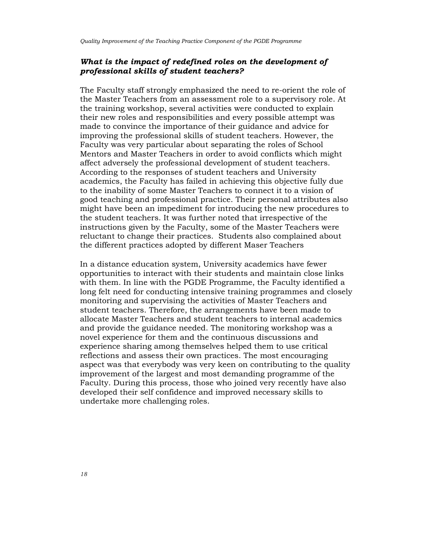## What is the impact of redefined roles on the development of professional skills of student teachers?

The Faculty staff strongly emphasized the need to re-orient the role of the Master Teachers from an assessment role to a supervisory role. At the training workshop, several activities were conducted to explain their new roles and responsibilities and every possible attempt was made to convince the importance of their guidance and advice for improving the professional skills of student teachers. However, the Faculty was very particular about separating the roles of School Mentors and Master Teachers in order to avoid conflicts which might affect adversely the professional development of student teachers. According to the responses of student teachers and University academics, the Faculty has failed in achieving this objective fully due to the inability of some Master Teachers to connect it to a vision of good teaching and professional practice. Their personal attributes also might have been an impediment for introducing the new procedures to the student teachers. It was further noted that irrespective of the instructions given by the Faculty, some of the Master Teachers were reluctant to change their practices. Students also complained about the different practices adopted by different Maser Teachers

In a distance education system, University academics have fewer opportunities to interact with their students and maintain close links with them. In line with the PGDE Programme, the Faculty identified a long felt need for conducting intensive training programmes and closely monitoring and supervising the activities of Master Teachers and student teachers. Therefore, the arrangements have been made to allocate Master Teachers and student teachers to internal academics and provide the guidance needed. The monitoring workshop was a novel experience for them and the continuous discussions and experience sharing among themselves helped them to use critical reflections and assess their own practices. The most encouraging aspect was that everybody was very keen on contributing to the quality improvement of the largest and most demanding programme of the Faculty. During this process, those who joined very recently have also developed their self confidence and improved necessary skills to undertake more challenging roles.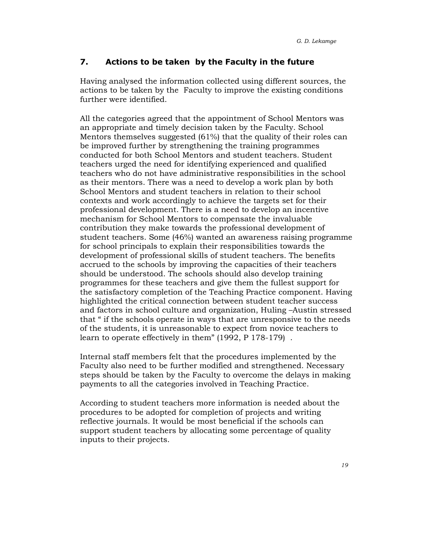## 7. Actions to be taken by the Faculty in the future

Having analysed the information collected using different sources, the actions to be taken by the Faculty to improve the existing conditions further were identified.

All the categories agreed that the appointment of School Mentors was an appropriate and timely decision taken by the Faculty. School Mentors themselves suggested  $(61%)$  that the quality of their roles can be improved further by strengthening the training programmes conducted for both School Mentors and student teachers. Student teachers urged the need for identifying experienced and qualified teachers who do not have administrative responsibilities in the school as their mentors. There was a need to develop a work plan by both School Mentors and student teachers in relation to their school contexts and work accordingly to achieve the targets set for their professional development. There is a need to develop an incentive mechanism for School Mentors to compensate the invaluable contribution they make towards the professional development of student teachers. Some (46%) wanted an awareness raising programme for school principals to explain their responsibilities towards the development of professional skills of student teachers. The benefits accrued to the schools by improving the capacities of their teachers should be understood. The schools should also develop training programmes for these teachers and give them the fullest support for the satisfactory completion of the Teaching Practice component. Having highlighted the critical connection between student teacher success and factors in school culture and organization, Huling –Austin stressed that " if the schools operate in ways that are unresponsive to the needs of the students, it is unreasonable to expect from novice teachers to learn to operate effectively in them" (1992, P 178-179) .

Internal staff members felt that the procedures implemented by the Faculty also need to be further modified and strengthened. Necessary steps should be taken by the Faculty to overcome the delays in making payments to all the categories involved in Teaching Practice.

According to student teachers more information is needed about the procedures to be adopted for completion of projects and writing reflective journals. It would be most beneficial if the schools can support student teachers by allocating some percentage of quality inputs to their projects.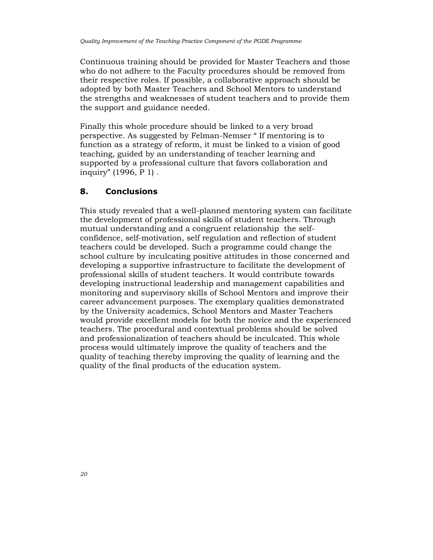Continuous training should be provided for Master Teachers and those who do not adhere to the Faculty procedures should be removed from their respective roles. If possible, a collaborative approach should be adopted by both Master Teachers and School Mentors to understand the strengths and weaknesses of student teachers and to provide them the support and guidance needed.

Finally this whole procedure should be linked to a very broad perspective. As suggested by Felman-Nemser " If mentoring is to function as a strategy of reform, it must be linked to a vision of good teaching, guided by an understanding of teacher learning and supported by a professional culture that favors collaboration and inquiry" (1996, P 1) .

# 8. Conclusions

This study revealed that a well-planned mentoring system can facilitate the development of professional skills of student teachers. Through mutual understanding and a congruent relationship the selfconfidence, self-motivation, self regulation and reflection of student teachers could be developed. Such a programme could change the school culture by inculcating positive attitudes in those concerned and developing a supportive infrastructure to facilitate the development of professional skills of student teachers. It would contribute towards developing instructional leadership and management capabilities and monitoring and supervisory skills of School Mentors and improve their career advancement purposes. The exemplary qualities demonstrated by the University academics, School Mentors and Master Teachers would provide excellent models for both the novice and the experienced teachers. The procedural and contextual problems should be solved and professionalization of teachers should be inculcated. This whole process would ultimately improve the quality of teachers and the quality of teaching thereby improving the quality of learning and the quality of the final products of the education system.